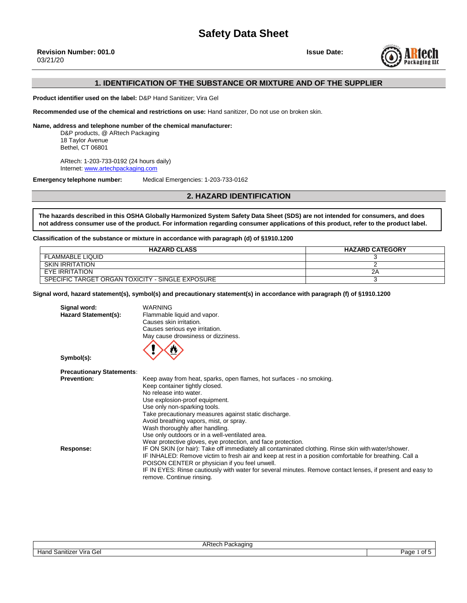

## **1. IDENTIFICATION OF THE SUBSTANCE OR MIXTURE AND OF THE SUPPLIER**

**Product identifier used on the label:** D&P Hand Sanitizer; Vira Gel

**Recommended use of the chemical and restrictions on use:** Hand sanitizer, Do not use on broken skin.

**Name, address and telephone number of the chemical manufacturer:**

D&P products, @ ARtech Packaging 18 Taylor Avenue Bethel, CT 06801

ARtech: 1-203-733-0192 (24 hours daily) Internet: [www.artechpackaging.com](http://www.artechpackaging.com/)

**Emergency telephone number:** Medical Emergencies: 1-203-733-0162

**2. HAZARD IDENTIFICATION**

**The hazards described in this OSHA Globally Harmonized System Safety Data Sheet (SDS) are not intended for consumers, and does not address consumer use of the product. For information regarding consumer applications of this product, refer to the product label.**

**Classification of the substance or mixture in accordance with paragraph (d) of §1910.1200**

| <b>HAZARD CLASS</b>                              | <b>HAZARD CATEGORY</b> |
|--------------------------------------------------|------------------------|
| FLAMMABLE LIQUID                                 |                        |
| SKIN IRRITATION                                  |                        |
| EYE IRRITATION                                   |                        |
| SPECIFIC TARGET ORGAN TOXICITY - SINGLE EXPOSURE |                        |

**Signal word, hazard statement(s), symbol(s) and precautionary statement(s) in accordance with paragraph (f) of §1910.1200** 

| Signal word:                     | <b>WARNING</b>                                                                                             |
|----------------------------------|------------------------------------------------------------------------------------------------------------|
| <b>Hazard Statement(s):</b>      | Flammable liquid and vapor.                                                                                |
|                                  | Causes skin irritation.                                                                                    |
|                                  | Causes serious eye irritation.                                                                             |
|                                  | May cause drowsiness or dizziness.                                                                         |
|                                  |                                                                                                            |
|                                  |                                                                                                            |
| Symbol(s):                       |                                                                                                            |
|                                  |                                                                                                            |
| <b>Precautionary Statements:</b> |                                                                                                            |
| <b>Prevention:</b>               | Keep away from heat, sparks, open flames, hot surfaces - no smoking.                                       |
|                                  | Keep container tightly closed.                                                                             |
|                                  | No release into water.                                                                                     |
|                                  | Use explosion-proof equipment.                                                                             |
|                                  | Use only non-sparking tools.                                                                               |
|                                  | Take precautionary measures against static discharge.                                                      |
|                                  | Avoid breathing vapors, mist, or spray.                                                                    |
|                                  | Wash thoroughly after handling.                                                                            |
|                                  | Use only outdoors or in a well-ventilated area.                                                            |
|                                  | Wear protective gloves, eye protection, and face protection.                                               |
| Response:                        | IF ON SKIN (or hair): Take off immediately all contaminated clothing. Rinse skin with water/shower.        |
|                                  | IF INHALED: Remove victim to fresh air and keep at rest in a position comfortable for breathing. Call a    |
|                                  | POISON CENTER or physician if you feel unwell.                                                             |
|                                  | IF IN EYES: Rinse cautiously with water for several minutes. Remove contact lenses, if present and easy to |
|                                  | remove. Continue rinsing.                                                                                  |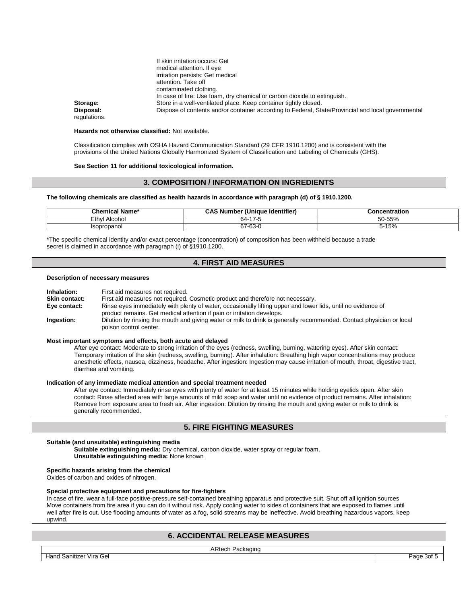|              | If SKIN Irritation occurs: Get                                                                     |
|--------------|----------------------------------------------------------------------------------------------------|
|              | medical attention. If eye                                                                          |
|              | irritation persists: Get medical                                                                   |
|              | attention. Take off                                                                                |
|              | contaminated clothing.                                                                             |
|              | In case of fire: Use foam, dry chemical or carbon dioxide to extinguish.                           |
| Storage:     | Store in a well-ventilated place. Keep container tightly closed.                                   |
| Disposal:    | Dispose of contents and/or container according to Federal, State/Provincial and local governmental |
| regulations. |                                                                                                    |

#### **Hazards not otherwise classified:** Not available.

Classification complies with OSHA Hazard Communication Standard (29 CFR 1910.1200) and is consistent with the provisions of the United Nations Globally Harmonized System of Classification and Labeling of Chemicals (GHS).

#### **See Section 11 for additional toxicological information.**

If skin irritation occurs: Get

## **3. COMPOSITION / INFORMATION ON INGREDIENTS**

#### **The following chemicals are classified as health hazards in accordance with paragraph (d) of § 1910.1200.**

| -י<br>∣ Name*<br>Chemical | <br><b>CAS Number (Unique)</b><br>⊦ldentifier` | <b>Concentration</b> |
|---------------------------|------------------------------------------------|----------------------|
| ∟ethv<br>Alcohol          | $\rightarrow$<br>nд-                           | 50-55%               |
| Isopropanol               | ~7-63-u<br>$\sim$                              | 5-15%                |

\*The specific chemical identity and/or exact percentage (concentration) of composition has been withheld because a trade secret is claimed in accordance with paragraph (i) of §1910.1200.

## **4. FIRST AID MEASURES**

#### **Description of necessary measures**

| Inhalation:          | First aid measures not required.                                                                                     |
|----------------------|----------------------------------------------------------------------------------------------------------------------|
| <b>Skin contact:</b> | First aid measures not required. Cosmetic product and therefore not necessary.                                       |
| Eye contact:         | Rinse eyes immediately with plenty of water, occasionally lifting upper and lower lids, until no evidence of         |
|                      | product remains. Get medical attention if pain or irritation develops.                                               |
| Ingestion:           | Dilution by rinsing the mouth and giving water or milk to drink is generally recommended. Contact physician or local |
|                      | poison control center.                                                                                               |

#### **Most important symptoms and effects, both acute and delayed**

After eye contact: Moderate to strong irritation of the eyes (redness, swelling, burning, watering eyes). After skin contact: Temporary irritation of the skin (redness, swelling, burning). After inhalation: Breathing high vapor concentrations may produce anesthetic effects, nausea, dizziness, headache. After ingestion: Ingestion may cause irritation of mouth, throat, digestive tract, diarrhea and vomiting.

#### **Indication of any immediate medical attention and special treatment needed**

After eye contact: Immediately rinse eyes with plenty of water for at least 15 minutes while holding eyelids open. After skin contact: Rinse affected area with large amounts of mild soap and water until no evidence of product remains. After inhalation: Remove from exposure area to fresh air. After ingestion: Dilution by rinsing the mouth and giving water or milk to drink is generally recommended.

## **5. FIRE FIGHTING MEASURES**

#### **Suitable (and unsuitable) extinguishing media**

**Suitable extinguishing media:** Dry chemical, carbon dioxide, water spray or regular foam. **Unsuitable extinguishing media:** None known

#### **Specific hazards arising from the chemical**

Oxides of carbon and oxides of nitrogen.

## **Special protective equipment and precautions for fire-fighters**

In case of fire, wear a full-face positive-pressure self-contained breathing apparatus and protective suit. Shut off all ignition sources Move containers from fire area if you can do it without risk. Apply cooling water to sides of containers that are exposed to flames until well after fire is out. Use flooding amounts of water as a fog, solid streams may be ineffective. Avoid breathing hazardous vapors, keep upwind.

# **6. ACCIDENTAL RELEASE MEASURES**

Hand Sanitizer Vira Gel Page 3of 5

ARtech Packaging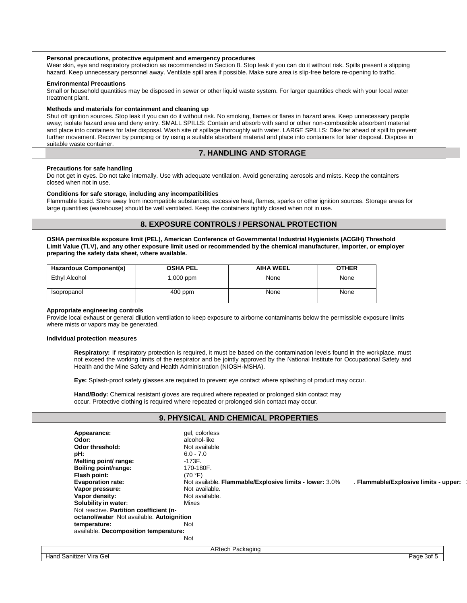## **Personal precautions, protective equipment and emergency procedures**

Wear skin, eye and respiratory protection as recommended in Section 8. Stop leak if you can do it without risk. Spills present a slipping hazard. Keep unnecessary personnel away. Ventilate spill area if possible. Make sure area is slip-free before re-opening to traffic.

#### **Environmental Precautions**

Small or household quantities may be disposed in sewer or other liquid waste system. For larger quantities check with your local water treatment plant.

#### **Methods and materials for containment and cleaning up**

Shut off ignition sources. Stop leak if you can do it without risk. No smoking, flames or flares in hazard area. Keep unnecessary people away; isolate hazard area and deny entry. SMALL SPILLS: Contain and absorb with sand or other non-combustible absorbent material and place into containers for later disposal. Wash site of spillage thoroughly with water. LARGE SPILLS: Dike far ahead of spill to prevent further movement. Recover by pumping or by using a suitable absorbent material and place into containers for later disposal. Dispose in suitable waste container.

## **7. HANDLING AND STORAGE**

#### **Precautions for safe handling**

Do not get in eyes. Do not take internally. Use with adequate ventilation. Avoid generating aerosols and mists. Keep the containers closed when not in use.

#### **Conditions for safe storage, including any incompatibilities**

Flammable liquid. Store away from incompatible substances, excessive heat, flames, sparks or other ignition sources. Storage areas for large quantities (warehouse) should be well ventilated. Keep the containers tightly closed when not in use.

## **8. EXPOSURE CONTROLS / PERSONAL PROTECTION**

**OSHA permissible exposure limit (PEL), American Conference of Governmental Industrial Hygienists (ACGIH) Threshold Limit Value (TLV), and any other exposure limit used or recommended by the chemical manufacturer, importer, or employer preparing the safety data sheet, where available.**

| Hazardous Component(s) | <b>OSHA PEL</b> | <b>AIHA WEEL</b> | <b>OTHER</b> |
|------------------------|-----------------|------------------|--------------|
| Ethyl Alcohol          | 1,000 ppm       | None             | None         |
| Isopropanol            | $400$ ppm       | None             | None         |

#### **Appropriate engineering controls**

Provide local exhaust or general dilution ventilation to keep exposure to airborne contaminants below the permissible exposure limits where mists or vapors may be generated.

#### **Individual protection measures**

**Respiratory:** If respiratory protection is required, it must be based on the contamination levels found in the workplace, must not exceed the working limits of the respirator and be jointly approved by the National Institute for Occupational Safety and Health and the Mine Safety and Health Administration (NIOSH-MSHA).

**Eye:** Splash-proof safety glasses are required to prevent eye contact where splashing of product may occur.

**Hand/Body:** Chemical resistant gloves are required where repeated or prolonged skin contact may occur. Protective clothing is required where repeated or prolonged skin contact may occur.

## **9. PHYSICAL AND CHEMICAL PROPERTIES**

| Appearance:                               | gel, colorless                                          |                                       |
|-------------------------------------------|---------------------------------------------------------|---------------------------------------|
| Odor:                                     | alcohol-like                                            |                                       |
| Odor threshold:                           | Not available                                           |                                       |
| pH:                                       | $6.0 - 7.0$                                             |                                       |
| Melting point/ range:                     | -173F.                                                  |                                       |
| Boiling point/range:                      | 170-180F.                                               |                                       |
| Flash point:                              | (70 °F)                                                 |                                       |
| <b>Evaporation rate:</b>                  | Not available. Flammable/Explosive limits - lower: 3.0% | . Flammable/Explosive limits - upper: |
| Vapor pressure:                           | Not available.                                          |                                       |
| Vapor density:                            | Not available.                                          |                                       |
| Solubility in water:                      | Mixes                                                   |                                       |
| Not reactive. Partition coefficient (n-   |                                                         |                                       |
| octanol/water Not available. Autoignition |                                                         |                                       |
| temperature:                              | <b>Not</b>                                              |                                       |
| available. Decomposition temperature:     |                                                         |                                       |
|                                           | <b>Not</b>                                              |                                       |
|                                           | <b>ARtech Packaging</b>                                 |                                       |
| Hand Sanitizer Vira Gel                   |                                                         | Page 3of 5                            |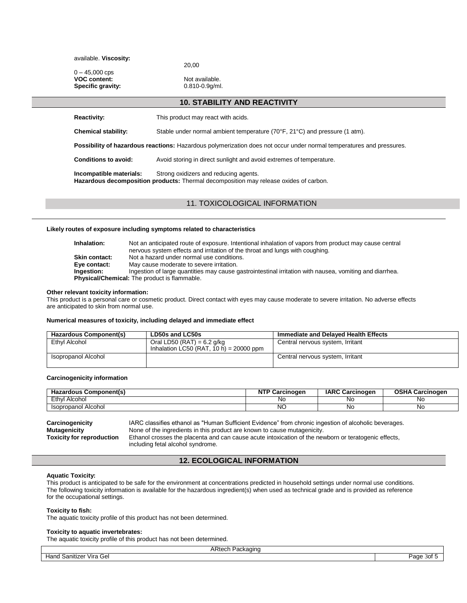available. **Viscosity:**

20,00

 $0 - 45,000$  cps **VOC** content: Not available. **Specific gravity:** 0.810-0.9g/ml.

## **10. STABILITY AND REACTIVITY**

**Reactivity:** This product may react with acids.

**Chemical stability:** Stable under normal ambient temperature (70°F, 21°C) and pressure (1 atm).

**Possibility of hazardous reactions:** Hazardous polymerization does not occur under normal temperatures and pressures.

**Conditions to avoid:** Avoid storing in direct sunlight and avoid extremes of temperature.

**Incompatible materials:** Strong oxidizers and reducing agents. **Hazardous decomposition products:** Thermal decomposition may release oxides of carbon.

11. TOXICOLOGICAL INFORMATION

## **Likely routes of exposure including symptoms related to characteristics**

| Inhalation:          | Not an anticipated route of exposure. Intentional inhalation of vapors from product may cause central<br>nervous system effects and irritation of the throat and lungs with coughing. |
|----------------------|---------------------------------------------------------------------------------------------------------------------------------------------------------------------------------------|
| <b>Skin contact:</b> | Not a hazard under normal use conditions.                                                                                                                                             |
| Eye contact:         | May cause moderate to severe irritation.                                                                                                                                              |
| Ingestion:           | Ingestion of large quantities may cause gastrointestinal irritation with nausea, vomiting and diarrhea.                                                                               |
|                      | <b>Physical/Chemical:</b> The product is flammable.                                                                                                                                   |

### **Other relevant toxicity information:**

This product is a personal care or cosmetic product. Direct contact with eyes may cause moderate to severe irritation. No adverse effects are anticipated to skin from normal use.

#### **Numerical measures of toxicity, including delayed and immediate effect**

| Hazardous Component(s) | LD50s and LC50s                                                         | Immediate and Delaved Health Effects |
|------------------------|-------------------------------------------------------------------------|--------------------------------------|
| Ethvl Alcohol          | Oral LD50 (RAT) = $6.2$ g/kg<br>Inhalation LC50 (RAT, 10 h) = 20000 ppm | Central nervous system, Irritant     |
| Isopropanol Alcohol    |                                                                         | Central nervous system, Irritant     |

## **Carcinogenicity information**

| Component(s)<br><br>ardous<br>٦а. | $-$<br>rcinoaen<br>N | <b>IARC</b><br>Carcinogen | arcinoaen;<br><b>W</b> |
|-----------------------------------|----------------------|---------------------------|------------------------|
| Ethyl<br>Alcohoi                  | NC.                  | NC.                       | No                     |
| Alcohol<br>Isopropanol            | NC                   | <b>NG</b>                 | No                     |

**Carcinogenicity** IARC classifies ethanol as "Human Sufficient Evidence" from chronic ingestion of alcoholic beverages. **Mutagenicity** None of the ingredients in this product are known to cause mutagenicity. **Toxicity for reproduction** Ethanol crosses the placenta and can cause acute intoxication of the newborn or teratogenic effects, including fetal alcohol syndrome.

## **12. ECOLOGICAL INFORMATION**

## **Aquatic Toxicity:**

This product is anticipated to be safe for the environment at concentrations predicted in household settings under normal use conditions. The following toxicity information is available for the hazardous ingredient(s) when used as technical grade and is provided as reference for the occupational settings.

#### **Toxicity to fish:**

The aquatic toxicity profile of this product has not been determined.

#### **Toxicity to aquatic invertebrates:**

The aquatic toxicity profile of this product has not been determined.

| ARtech<br>Packaging                       |             |
|-------------------------------------------|-------------|
| .<br><b>Hand Sanitizer</b><br>Gel<br>Vira | Page<br>30L |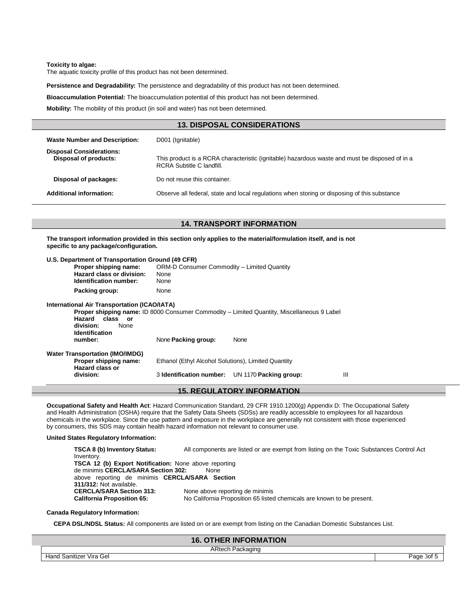#### **Toxicity to algae:**

The aquatic toxicity profile of this product has not been determined.

**Persistence and Degradability:** The persistence and degradability of this product has not been determined.

**Bioaccumulation Potential:** The bioaccumulation potential of this product has not been determined.

**Mobility:** The mobility of this product (in soil and water) has not been determined.

| <b>13. DISPOSAL CONSIDERATIONS</b>                              |                                                                                                                             |  |
|-----------------------------------------------------------------|-----------------------------------------------------------------------------------------------------------------------------|--|
| <b>Waste Number and Description:</b>                            | D001 (Ignitable)                                                                                                            |  |
| <b>Disposal Considerations:</b><br><b>Disposal of products:</b> | This product is a RCRA characteristic (ignitable) hazardous waste and must be disposed of in a<br>RCRA Subtitle C landfill. |  |
| Disposal of packages:                                           | Do not reuse this container.                                                                                                |  |
| <b>Additional information:</b>                                  | Observe all federal, state and local regulations when storing or disposing of this substance                                |  |
|                                                                 |                                                                                                                             |  |

## **14. TRANSPORT INFORMATION**

**The transport information provided in this section only applies to the material/formulation itself, and is not specific to any package/configuration.**

| U.S. Department of Transportation Ground (49 CFR)                                                                        |                                                                    |                                                                                                           |   |
|--------------------------------------------------------------------------------------------------------------------------|--------------------------------------------------------------------|-----------------------------------------------------------------------------------------------------------|---|
| Proper shipping name:<br>Hazard class or division:<br><b>Identification number:</b>                                      | ORM-D Consumer Commodity - Limited Quantity<br><b>None</b><br>None |                                                                                                           |   |
| Packing group:                                                                                                           | None                                                               |                                                                                                           |   |
| International Air Transportation (ICAO/IATA)<br>Hazard class or<br>division:<br>None<br><b>Identification</b><br>number: | None Packing group:                                                | <b>Proper shipping name: ID 8000 Consumer Commodity – Limited Quantity, Miscellaneous 9 Label</b><br>None |   |
| <b>Water Transportation (IMO/IMDG)</b>                                                                                   |                                                                    |                                                                                                           |   |
| Proper shipping name:<br><b>Hazard class or</b>                                                                          | Ethanol (Ethyl Alcohol Solutions), Limited Quantity                |                                                                                                           |   |
| division:                                                                                                                | 3 Identification number:                                           | UN 1170 Packing group:                                                                                    | Ш |

# **15. REGULATORY INFORMATION**

**Occupational Safety and Health Act**: Hazard Communication Standard, 29 CFR 1910.1200(g) Appendix D: The Occupational Safety and Health Administration (OSHA) require that the Safety Data Sheets (SDSs) are readily accessible to employees for all hazardous chemicals in the workplace. Since the use pattern and exposure in the workplace are generally not consistent with those experienced by consumers, this SDS may contain health hazard information not relevant to consumer use.

#### **United States Regulatory Information:**

**TSCA 8 (b) Inventory Status:** All components are listed or are exempt from listing on the Toxic Substances Control Act Inventory. **TSCA 12 (b) Export Notification:** None above reporting de minimis **CERCLA/SARA Section 302:** None above reporting de minimis **CERCLA/SARA Section 311/312:** Not available. **CERCLA/SARA Section 313:** None above reporting de minimis **California Proposition 65:** No California Proposition 65 listed chemicals are known to be present.

#### **Canada Regulatory Information:**

**CEPA DSL/NDSL Status:** All components are listed on or are exempt from listing on the Canadian Domestic Substances List.

| <b>THER INFORMATION</b><br>16. |      |
|--------------------------------|------|
| ARtech<br>Packaging            |      |
| Hand<br>l Sanitizer Vira Gel   | ⊵aαe |